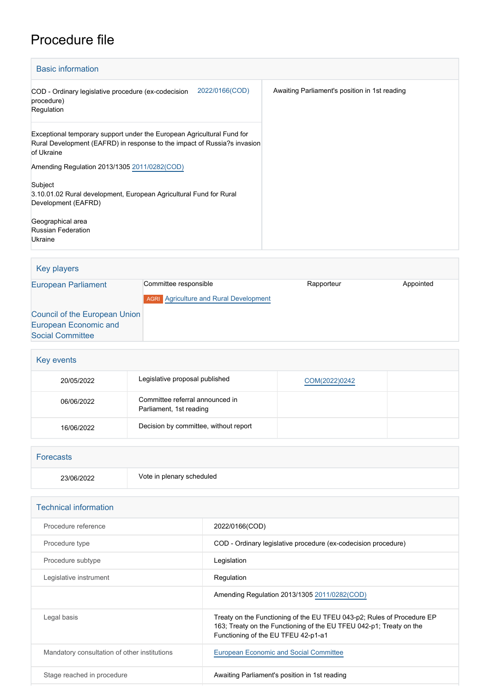## Procedure file

| <b>Basic information</b>                                                                                                                                         |                                               |  |  |
|------------------------------------------------------------------------------------------------------------------------------------------------------------------|-----------------------------------------------|--|--|
| 2022/0166(COD)<br>COD - Ordinary legislative procedure (ex-codecision<br>procedure)<br>Regulation                                                                | Awaiting Parliament's position in 1st reading |  |  |
| Exceptional temporary support under the European Agricultural Fund for<br>Rural Development (EAFRD) in response to the impact of Russia?s invasion<br>of Ukraine |                                               |  |  |
| Amending Regulation 2013/1305 2011/0282(COD)                                                                                                                     |                                               |  |  |
| Subject<br>3.10.01.02 Rural development, European Agricultural Fund for Rural<br>Development (EAFRD)                                                             |                                               |  |  |
| Geographical area<br><b>Russian Federation</b><br>Ukraine                                                                                                        |                                               |  |  |

| Key players                                                                              |                                                                        |            |           |  |
|------------------------------------------------------------------------------------------|------------------------------------------------------------------------|------------|-----------|--|
| <b>European Parliament</b>                                                               | Committee responsible<br><b>AGRI</b> Agriculture and Rural Development | Rapporteur | Appointed |  |
| Council of the European Union<br><b>European Economic and</b><br><b>Social Committee</b> |                                                                        |            |           |  |

| Key events |                                                            |               |  |
|------------|------------------------------------------------------------|---------------|--|
| 20/05/2022 | Legislative proposal published                             | COM(2022)0242 |  |
| 06/06/2022 | Committee referral announced in<br>Parliament, 1st reading |               |  |
| 16/06/2022 | Decision by committee, without report                      |               |  |

| Forecasts  |                           |  |
|------------|---------------------------|--|
| 23/06/2022 | Vote in plenary scheduled |  |

| <b>Technical information</b>                 |                                                                                                                                                                                      |
|----------------------------------------------|--------------------------------------------------------------------------------------------------------------------------------------------------------------------------------------|
| Procedure reference                          | 2022/0166(COD)                                                                                                                                                                       |
| Procedure type                               | COD - Ordinary legislative procedure (ex-codecision procedure)                                                                                                                       |
| Procedure subtype                            | Legislation                                                                                                                                                                          |
| Legislative instrument                       | Regulation                                                                                                                                                                           |
|                                              | Amending Regulation 2013/1305 2011/0282(COD)                                                                                                                                         |
| Legal basis                                  | Treaty on the Functioning of the EU TFEU 043-p2; Rules of Procedure EP<br>163; Treaty on the Functioning of the EU TFEU 042-p1; Treaty on the<br>Functioning of the EU TFEU 42-p1-a1 |
| Mandatory consultation of other institutions | <b>European Economic and Social Committee</b>                                                                                                                                        |
| Stage reached in procedure                   | Awaiting Parliament's position in 1st reading                                                                                                                                        |
|                                              |                                                                                                                                                                                      |